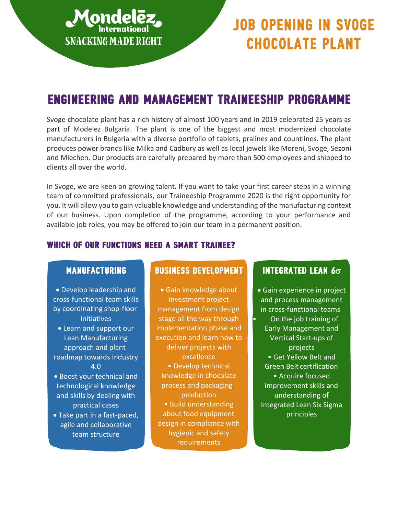

# **JOB OPENING IN SVOGE CHOCOLATE PLANT**

# **ENGINEERING AND MANAGEMENT TRAINEESHIP PROGRAMME**

Svoge chocolate plant has a rich history of almost 100 years and in 2019 celebrated 25 years as part of Modelez Bulgaria. The plant is one of the biggest and most modernized chocolate manufacturers in Bulgaria with a diverse portfolio of tablets, pralines and countlines. The plant produces power brands like Milka and Cadbury as well as local jewels like Moreni, Svoge, Sezoni and Mlechen. Our products are carefully prepared by more than 500 employees and shipped to clients all over the world.

In Svoge, we are keen on growing talent. If you want to take your first career steps in a winning team of committed professionals, our Traineeship Programme 2020 is the right opportunity for you. It will allow you to gain valuable knowledge and understanding of the manufacturing context of our business. Upon completion of the programme, according to your performance and available job roles, you may be offered to join our team in a permanent position.

#### **WHICH OF OUR FUNCTIONS NEED A SMART TRAINEE?**

#### **MANUFACTURING**

• Develop leadership and cross-functional team skills by coordinating shop-floor initiatives • Learn and support our Lean Manufacturing approach and plant

- roadmap towards Industry 4.0
- Boost your technical and technological knowledge and skills by dealing with practical cases • Take part in a fast-paced,
- agile and collaborative team structure

#### **BUSINESS DEVELOPMENT**

• Gain knowledge about investment project management from design stage all the way through implementation phase and execution and learn how to deliver projects with excellence • Develop technical knowledge in chocolate process and packaging production • Build understanding about food equipment design in compliance with hygienic and safety requirements

## **INTEGRATED LEAN 6** $\sigma$

• Gain experience in project and process management in cross-functional teams • On the job training of Early Management and Vertical Start-ups of projects • Get Yellow Belt and Green Belt certification • Acquire focused improvement skills and understanding of Integrated Lean Six Sigma principles